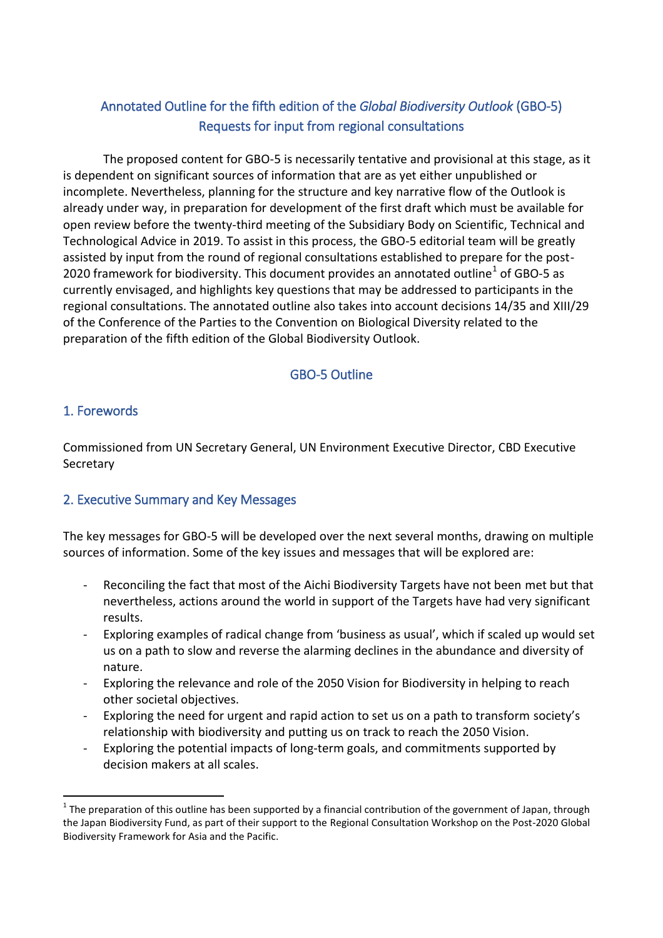# Annotated Outline for the fifth edition of the *Global Biodiversity Outlook* (GBO-5) Requests for input from regional consultations

The proposed content for GBO-5 is necessarily tentative and provisional at this stage, as it is dependent on significant sources of information that are as yet either unpublished or incomplete. Nevertheless, planning for the structure and key narrative flow of the Outlook is already under way, in preparation for development of the first draft which must be available for open review before the twenty-third meeting of the Subsidiary Body on Scientific, Technical and Technological Advice in 2019. To assist in this process, the GBO-5 editorial team will be greatly assisted by input from the round of regional consultations established to prepare for the post-2020 framework for biodiversity. This document provides an annotated outline<sup>1</sup> of GBO-5 as currently envisaged, and highlights key questions that may be addressed to participants in the regional consultations. The annotated outline also takes into account decisions 14/35 and XIII/29 of the Conference of the Parties to the Convention on Biological Diversity related to the preparation of the fifth edition of the Global Biodiversity Outlook.

# GBO-5 Outline

# 1. Forewords

Commissioned from UN Secretary General, UN Environment Executive Director, CBD Executive Secretary

# 2. Executive Summary and Key Messages

The key messages for GBO-5 will be developed over the next several months, drawing on multiple sources of information. Some of the key issues and messages that will be explored are:

- Reconciling the fact that most of the Aichi Biodiversity Targets have not been met but that nevertheless, actions around the world in support of the Targets have had very significant results.
- Exploring examples of radical change from 'business as usual', which if scaled up would set us on a path to slow and reverse the alarming declines in the abundance and diversity of nature.
- Exploring the relevance and role of the 2050 Vision for Biodiversity in helping to reach other societal objectives.
- Exploring the need for urgent and rapid action to set us on a path to transform society's relationship with biodiversity and putting us on track to reach the 2050 Vision.
- Exploring the potential impacts of long-term goals, and commitments supported by decision makers at all scales.

 $\overline{a}$  $^1$  The preparation of this outline has been supported by a financial contribution of the government of Japan, through the Japan Biodiversity Fund, as part of their support to the Regional Consultation Workshop on the Post-2020 Global Biodiversity Framework for Asia and the Pacific.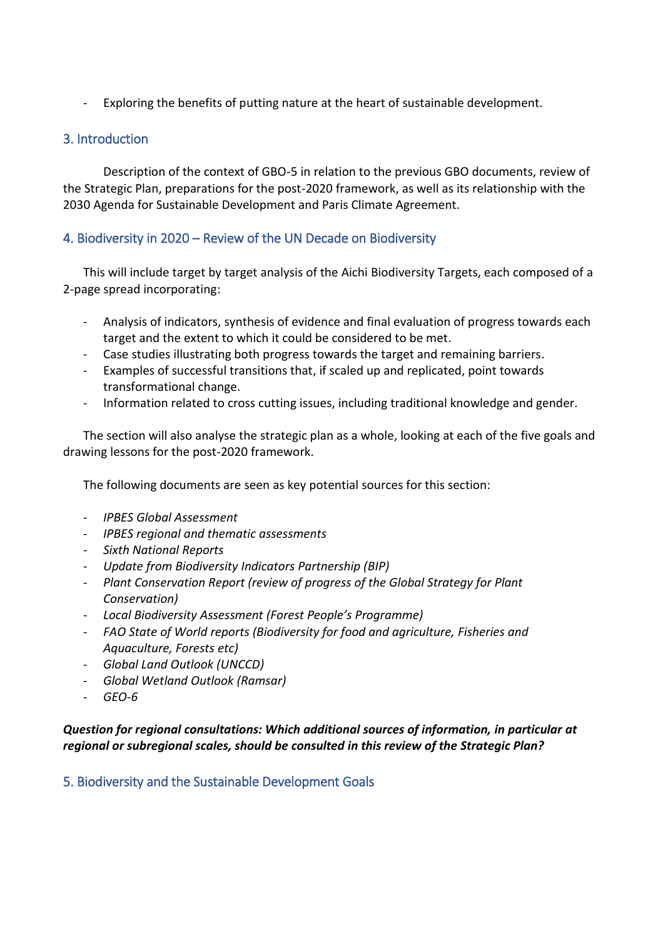- Exploring the benefits of putting nature at the heart of sustainable development.

#### 3. Introduction

Description of the context of GBO-5 in relation to the previous GBO documents, review of the Strategic Plan, preparations for the post-2020 framework, as well as its relationship with the 2030 Agenda for Sustainable Development and Paris Climate Agreement.

### 4. Biodiversity in 2020 – Review of the UN Decade on Biodiversity

This will include target by target analysis of the Aichi Biodiversity Targets, each composed of a 2-page spread incorporating:

- Analysis of indicators, synthesis of evidence and final evaluation of progress towards each target and the extent to which it could be considered to be met.
- Case studies illustrating both progress towards the target and remaining barriers.
- Examples of successful transitions that, if scaled up and replicated, point towards transformational change.
- Information related to cross cutting issues, including traditional knowledge and gender.

The section will also analyse the strategic plan as a whole, looking at each of the five goals and drawing lessons for the post-2020 framework.

The following documents are seen as key potential sources for this section:

- *IPBES Global Assessment*
- *IPBES regional and thematic assessments*
- *Sixth National Reports*
- *Update from Biodiversity Indicators Partnership (BIP)*
- *Plant Conservation Report (review of progress of the Global Strategy for Plant Conservation)*
- *Local Biodiversity Assessment (Forest People's Programme)*
- *FAO State of World reports (Biodiversity for food and agriculture, Fisheries and Aquaculture, Forests etc)*
- *Global Land Outlook (UNCCD)*
- *Global Wetland Outlook (Ramsar)*
- *GEO-6*

#### *Question for regional consultations: Which additional sources of information, in particular at regional or subregional scales, should be consulted in this review of the Strategic Plan?*

5. Biodiversity and the Sustainable Development Goals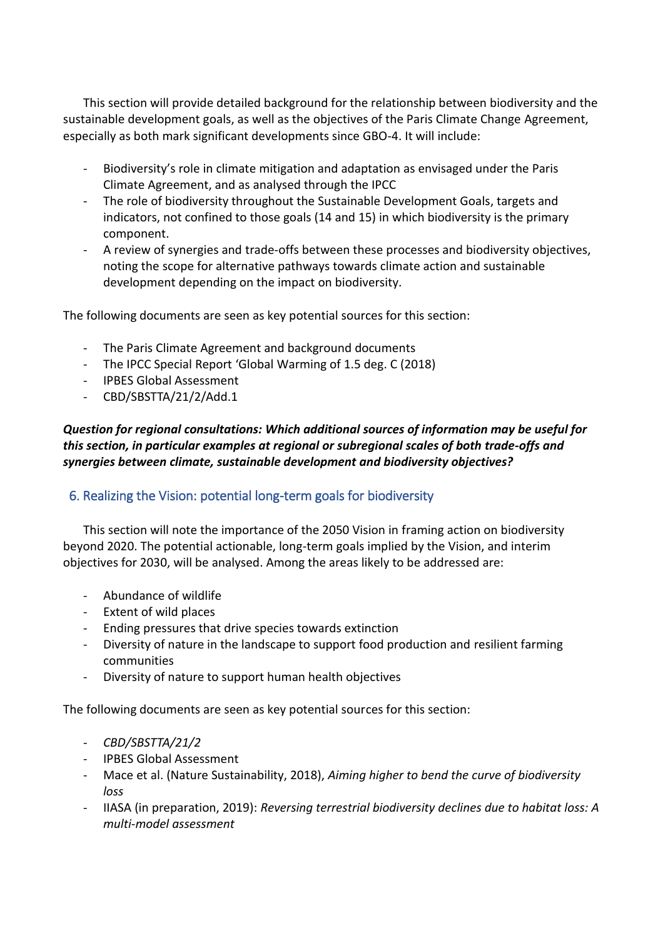This section will provide detailed background for the relationship between biodiversity and the sustainable development goals, as well as the objectives of the Paris Climate Change Agreement, especially as both mark significant developments since GBO-4. It will include:

- Biodiversity's role in climate mitigation and adaptation as envisaged under the Paris Climate Agreement, and as analysed through the IPCC
- The role of biodiversity throughout the Sustainable Development Goals, targets and indicators, not confined to those goals (14 and 15) in which biodiversity is the primary component.
- A review of synergies and trade-offs between these processes and biodiversity objectives, noting the scope for alternative pathways towards climate action and sustainable development depending on the impact on biodiversity.

The following documents are seen as key potential sources for this section:

- The Paris Climate Agreement and background documents
- The IPCC Special Report 'Global Warming of 1.5 deg. C (2018)
- IPBES Global Assessment
- CBD/SBSTTA/21/2/Add.1

# *Question for regional consultations: Which additional sources of information may be useful for this section, in particular examples at regional or subregional scales of both trade-offs and synergies between climate, sustainable development and biodiversity objectives?*

# 6. Realizing the Vision: potential long-term goals for biodiversity

This section will note the importance of the 2050 Vision in framing action on biodiversity beyond 2020. The potential actionable, long-term goals implied by the Vision, and interim objectives for 2030, will be analysed. Among the areas likely to be addressed are:

- Abundance of wildlife
- Extent of wild places
- Ending pressures that drive species towards extinction
- Diversity of nature in the landscape to support food production and resilient farming communities
- Diversity of nature to support human health objectives

The following documents are seen as key potential sources for this section:

- *CBD/SBSTTA/21/2*
- IPBES Global Assessment
- Mace et al. (Nature Sustainability, 2018), *Aiming higher to bend the curve of biodiversity loss*
- IIASA (in preparation, 2019): *Reversing terrestrial biodiversity declines due to habitat loss: A multi-model assessment*